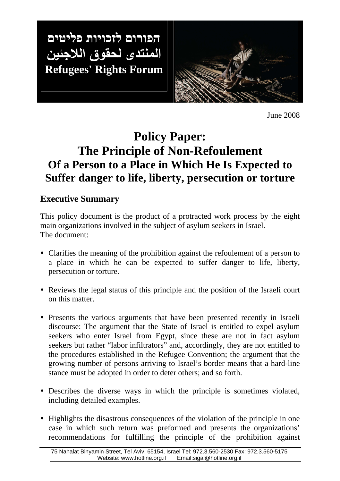הפורום לזכויות פליטים المنتدى لحقوق اللاجئين **Refugees' Rights Forum**

Ι



June 2008

# **Policy Paper: The Principle of Non-Refoulement Of a Person to a Place in Which He Is Expected to Suffer danger to life, liberty, persecution or torture**

# **Executive Summary**

This policy document is the product of a protracted work process by the eight main organizations involved in the subject of asylum seekers in Israel. The document:

- Clarifies the meaning of the prohibition against the refoulement of a person to a place in which he can be expected to suffer danger to life, liberty, persecution or torture.
- Reviews the legal status of this principle and the position of the Israeli court on this matter.
- Presents the various arguments that have been presented recently in Israeli discourse: The argument that the State of Israel is entitled to expel asylum seekers who enter Israel from Egypt, since these are not in fact asylum seekers but rather "labor infiltrators" and, accordingly, they are not entitled to the procedures established in the Refugee Convention; the argument that the growing number of persons arriving to Israel's border means that a hard-line stance must be adopted in order to deter others; and so forth.
- Describes the diverse ways in which the principle is sometimes violated, including detailed examples.
- Highlights the disastrous consequences of the violation of the principle in one case in which such return was preformed and presents the organizations' recommendations for fulfilling the principle of the prohibition against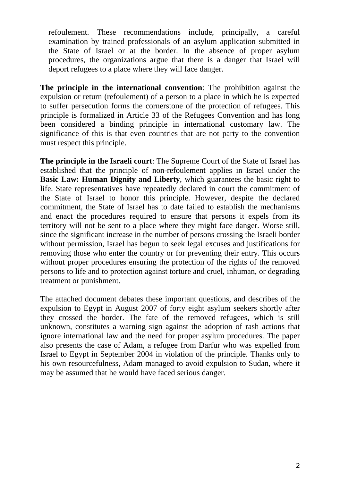refoulement. These recommendations include, principally, a careful examination by trained professionals of an asylum application submitted in the State of Israel or at the border. In the absence of proper asylum procedures, the organizations argue that there is a danger that Israel will deport refugees to a place where they will face danger.

**The principle in the international convention**: The prohibition against the expulsion or return (refoulement) of a person to a place in which he is expected to suffer persecution forms the cornerstone of the protection of refugees. This principle is formalized in Article 33 of the Refugees Convention and has long been considered a binding principle in international customary law. The significance of this is that even countries that are not party to the convention must respect this principle.

**The principle in the Israeli court**: The Supreme Court of the State of Israel has established that the principle of non-refoulement applies in Israel under the **Basic Law: Human Dignity and Liberty**, which guarantees the basic right to life. State representatives have repeatedly declared in court the commitment of the State of Israel to honor this principle. However, despite the declared commitment, the State of Israel has to date failed to establish the mechanisms and enact the procedures required to ensure that persons it expels from its territory will not be sent to a place where they might face danger. Worse still, since the significant increase in the number of persons crossing the Israeli border without permission, Israel has begun to seek legal excuses and justifications for removing those who enter the country or for preventing their entry. This occurs without proper procedures ensuring the protection of the rights of the removed persons to life and to protection against torture and cruel, inhuman, or degrading treatment or punishment.

The attached document debates these important questions, and describes of the expulsion to Egypt in August 2007 of forty eight asylum seekers shortly after they crossed the border. The fate of the removed refugees, which is still unknown, constitutes a warning sign against the adoption of rash actions that ignore international law and the need for proper asylum procedures. The paper also presents the case of Adam, a refugee from Darfur who was expelled from Israel to Egypt in September 2004 in violation of the principle. Thanks only to his own resourcefulness, Adam managed to avoid expulsion to Sudan, where it may be assumed that he would have faced serious danger.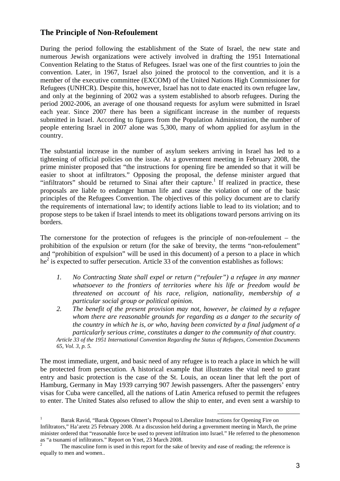### **The Principle of Non-Refoulement**

During the period following the establishment of the State of Israel, the new state and numerous Jewish organizations were actively involved in drafting the 1951 International Convention Relating to the Status of Refugees. Israel was one of the first countries to join the convention. Later, in 1967, Israel also joined the protocol to the convention, and it is a member of the executive committee (EXCOM) of the United Nations High Commissioner for Refugees (UNHCR). Despite this, however, Israel has not to date enacted its own refugee law, and only at the beginning of 2002 was a system established to absorb refugees. During the period 2002-2006, an average of one thousand requests for asylum were submitted in Israel each year. Since 2007 there has been a significant increase in the number of requests submitted in Israel. According to figures from the Population Administration, the number of people entering Israel in 2007 alone was 5,300, many of whom applied for asylum in the country.

The substantial increase in the number of asylum seekers arriving in Israel has led to a tightening of official policies on the issue. At a government meeting in February 2008, the prime minister proposed that "the instructions for opening fire be amended so that it will be easier to shoot at infiltrators." Opposing the proposal, the defense minister argued that "infiltrators" should be returned to Sinai after their capture.<sup>1</sup> If realized in practice, these proposals are liable to endanger human life and cause the violation of one of the basic principles of the Refugees Convention. The objectives of this policy document are to clarify the requirements of international law; to identify actions liable to lead to its violation; and to propose steps to be taken if Israel intends to meet its obligations toward persons arriving on its borders.

The cornerstone for the protection of refugees is the principle of non-refoulement – the prohibition of the expulsion or return (for the sake of brevity, the terms "non-refoulement" and "prohibition of expulsion" will be used in this document) of a person to a place in which  $he<sup>2</sup>$  is expected to suffer persecution. Article 33 of the convention establishes as follows:

- *1. No Contracting State shall expel or return ("refouler") a refugee in any manner whatsoever to the frontiers of territories where his life or freedom would be threatened on account of his race, religion, nationality, membership of a particular social group or political opinion.*
- *2. The benefit of the present provision may not, however, be claimed by a refugee whom there are reasonable grounds for regarding as a danger to the security of the country in which he is, or who, having been convicted by a final judgment of a particularly serious crime, constitutes a danger to the community of that country.*

*Article 33 of the 1951 International Convention Regarding the Status of Refugees, Convention Documents 65, Vol. 3, p. 5.* 

The most immediate, urgent, and basic need of any refugee is to reach a place in which he will be protected from persecution. A historical example that illustrates the vital need to grant entry and basic protection is the case of the St. Louis, an ocean liner that left the port of Hamburg, Germany in May 1939 carrying 907 Jewish passengers. After the passengers' entry visas for Cuba were cancelled, all the nations of Latin America refused to permit the refugees to enter. The United States also refused to allow the ship to enter, and even sent a warship to

<sup>1</sup> Barak Ravid, "Barak Opposes Olmert's Proposal to Liberalize Instructions for Opening Fire on Infiltrators," Ha'aretz 25 February 2008. At a discussion held during a government meeting in March, the prime minister ordered that "reasonable force be used to prevent infiltration into Israel." He referred to the phenomenon as "a tsunami of infiltrators." Report on Ynet, 23 March 2008.

<sup>2</sup> The masculine form is used in this report for the sake of brevity and ease of reading; the reference is equally to men and women..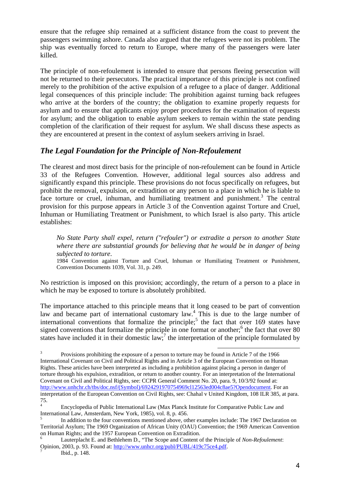ensure that the refugee ship remained at a sufficient distance from the coast to prevent the passengers swimming ashore. Canada also argued that the refugees were not its problem. The ship was eventually forced to return to Europe, where many of the passengers were later killed.

The principle of non-refoulement is intended to ensure that persons fleeing persecution will not be returned to their persecutors. The practical importance of this principle is not confined merely to the prohibition of the active expulsion of a refugee to a place of danger. Additional legal consequences of this principle include: The prohibition against turning back refugees who arrive at the borders of the country; the obligation to examine properly requests for asylum and to ensure that applicants enjoy proper procedures for the examination of requests for asylum; and the obligation to enable asylum seekers to remain within the state pending completion of the clarification of their request for asylum. We shall discuss these aspects as they are encountered at present in the context of asylum seekers arriving in Israel.

## *The Legal Foundation for the Principle of Non-Refoulement*

The clearest and most direct basis for the principle of non-refoulement can be found in Article 33 of the Refugees Convention. However, additional legal sources also address and significantly expand this principle. These provisions do not focus specifically on refugees, but prohibit the removal, expulsion, or extradition or any person to a place in which he is liable to face torture or cruel, inhuman, and humiliating treatment and punishment.<sup>3</sup> The central provision for this purpose appears in Article 3 of the Convention against Torture and Cruel, Inhuman or Humiliating Treatment or Punishment, to which Israel is also party. This article establishes:

*No State Party shall expel, return ("refouler") or extradite a person to another State where there are substantial grounds for believing that he would be in danger of being subjected to torture*.

1984 Convention against Torture and Cruel, Inhuman or Humiliating Treatment or Punishment, Convention Documents 1039, Vol. 31, p. 249.

No restriction is imposed on this provision; accordingly, the return of a person to a place in which he may be exposed to torture is absolutely prohibited.

The importance attached to this principle means that it long ceased to be part of convention law and became part of international customary law.<sup>4</sup> This is due to the large number of international conventions that formalize the principle;<sup>5</sup> the fact that over  $169$  states have signed conventions that formalize the principle in one format or another; $<sup>6</sup>$  the fact that over 80</sup> states have included it in their domestic law;<sup>7</sup> the interpretation of the principle formulated by

<sup>3</sup> Provisions prohibiting the exposure of a person to torture may be found in Article 7 of the 1966 International Covenant on Civil and Political Rights and in Article 3 of the European Convention on Human Rights. These articles have been interpreted as including a prohibition against placing a person in danger of torture through his expulsion, extradition, or return to another country. For an interpretation of the International Covenant on Civil and Political Rights, see: CCPR General Comment No. 20, para. 9, 10/3/92 found at: http://www.unhchr.ch/tbs/doc.nsf/(Symbol)/6924291970754969cl12563ed004c8ae5?Opendocument. For an interpretation of the European Convention on Civil Rights, see: Chahal v United Kingdom, 108 ILR 385, at para. 75.

<sup>4</sup> Encyclopedia of Public International Law (Max Planck Institute for Comparative Public Law and International Law, Amsterdam, New York, 1985), vol. 8, p. 456.

<sup>5</sup> In addition to the four conventions mentioned above, other examples include: The 1967 Declaration on Territorial Asylum; The 1969 Organization of African Unity (OAU) Convention; the 1969 American Convention on Human Rights; and the 1957 European Convention on Extradition.

<sup>6</sup> Lauterplacht E. and Bethlehem D., "The Scope and Content of the Principle of *Non-Refoulement*: Opinion, 2003, p. 93. Found at: http://www.unhcr.org/publ/PUBL/419c75ce4.pdf. 7

Ibid., p. 148.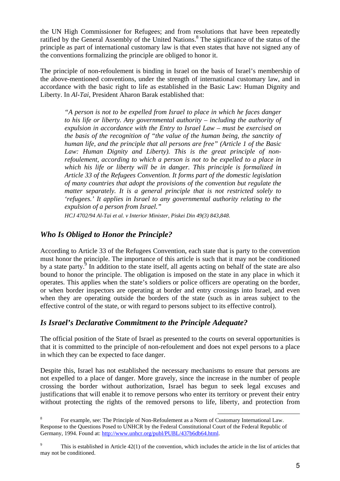the UN High Commissioner for Refugees; and from resolutions that have been repeatedly ratified by the General Assembly of the United Nations.<sup>8</sup> The significance of the status of the principle as part of international customary law is that even states that have not signed any of the conventions formalizing the principle are obliged to honor it.

The principle of non-refoulement is binding in Israel on the basis of Israel's membership of the above-mentioned conventions, under the strength of international customary law, and in accordance with the basic right to life as established in the Basic Law: Human Dignity and Liberty. In *Al-Tai*, President Aharon Barak established that:

*"A person is not to be expelled from Israel to place in which he faces danger to his life or liberty. Any governmental authority – including the authority of expulsion in accordance with the Entry to Israel Law – must be exercised on the basis of the recognition of "the value of the human being, the sanctity of human life, and the principle that all persons are free" (Article 1 of the Basic Law: Human Dignity and Liberty). This is the great principle of nonrefoulement, according to which a person is not to be expelled to a place in which his life or liberty will be in danger. This principle is formalized in Article 33 of the Refugees Convention. It forms part of the domestic legislation of many countries that adopt the provisions of the convention but regulate the matter separately. It is a general principle that is not restricted solely to 'refugees.' It applies in Israel to any governmental authority relating to the expulsion of a person from Israel."* 

*HCJ 4702/94 Al-Tai et al. v Interior Minister, Piskei Din 49(3) 843,848*.

## *Who Is Obliged to Honor the Principle?*

According to Article 33 of the Refugees Convention, each state that is party to the convention must honor the principle. The importance of this article is such that it may not be conditioned by a state party. $9$  In addition to the state itself, all agents acting on behalf of the state are also bound to honor the principle. The obligation is imposed on the state in any place in which it operates. This applies when the state's soldiers or police officers are operating on the border, or when border inspectors are operating at border and entry crossings into Israel, and even when they are operating outside the borders of the state (such as in areas subject to the effective control of the state, or with regard to persons subject to its effective control).

#### *Is Israel's Declarative Commitment to the Principle Adequate?*

The official position of the State of Israel as presented to the courts on several opportunities is that it is committed to the principle of non-refoulement and does not expel persons to a place in which they can be expected to face danger.

Despite this, Israel has not established the necessary mechanisms to ensure that persons are not expelled to a place of danger. More gravely, since the increase in the number of people crossing the border without authorization, Israel has begun to seek legal excuses and justifications that will enable it to remove persons who enter its territory or prevent their entry without protecting the rights of the removed persons to life, liberty, and protection from

l 8 For example, see: The Principle of Non-Refoulement as a Norm of Customary International Law. Response to the Questions Posed to UNHCR by the Federal Constitutional Court of the Federal Republic of Germany, 1994. Found at: http://www.unhcr.org/publ/PUBL/437b6db64.html.

<sup>9</sup> This is established in Article 42(1) of the convention, which includes the article in the list of articles that may not be conditioned.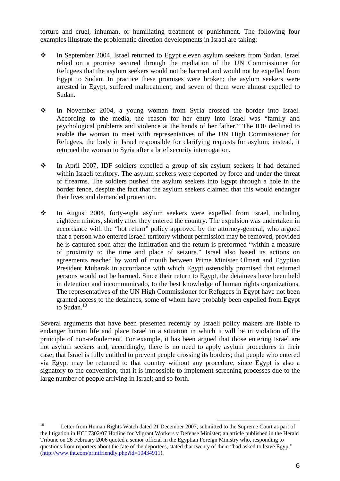torture and cruel, inhuman, or humiliating treatment or punishment. The following four examples illustrate the problematic direction developments in Israel are taking:

- $\frac{1}{2}$  In September 2004, Israel returned to Egypt eleven asylum seekers from Sudan. Israel relied on a promise secured through the mediation of the UN Commissioner for Refugees that the asylum seekers would not be harmed and would not be expelled from Egypt to Sudan. In practice these promises were broken; the asylum seekers were arrested in Egypt, suffered maltreatment, and seven of them were almost expelled to Sudan.
- $\cdot$  In November 2004, a young woman from Syria crossed the border into Israel. According to the media, the reason for her entry into Israel was "family and psychological problems and violence at the hands of her father." The IDF declined to enable the woman to meet with representatives of the UN High Commissioner for Refugees, the body in Israel responsible for clarifying requests for asylum; instead, it returned the woman to Syria after a brief security interrogation.
- $\frac{1}{2}$  In April 2007, IDF soldiers expelled a group of six asylum seekers it had detained within Israeli territory. The asylum seekers were deported by force and under the threat of firearms. The soldiers pushed the asylum seekers into Egypt through a hole in the border fence, despite the fact that the asylum seekers claimed that this would endanger their lives and demanded protection.
- $\frac{1}{2}$  In August 2004, forty-eight asylum seekers were expelled from Israel, including eighteen minors, shortly after they entered the country. The expulsion was undertaken in accordance with the "hot return" policy approved by the attorney-general, who argued that a person who entered Israeli territory without permission may be removed, provided he is captured soon after the infiltration and the return is preformed "within a measure of proximity to the time and place of seizure." Israel also based its actions on agreements reached by word of mouth between Prime Minister Olmert and Egyptian President Mubarak in accordance with which Egypt ostensibly promised that returned persons would not be harmed. Since their return to Egypt, the detainees have been held in detention and incommunicado, to the best knowledge of human rights organizations. The representatives of the UN High Commissioner for Refugees in Egypt have not been granted access to the detainees, some of whom have probably been expelled from Egypt to Sudan. $10$

Several arguments that have been presented recently by Israeli policy makers are liable to endanger human life and place Israel in a situation in which it will be in violation of the principle of non-refoulement. For example, it has been argued that those entering Israel are not asylum seekers and, accordingly, there is no need to apply asylum procedures in their case; that Israel is fully entitled to prevent people crossing its borders; that people who entered via Egypt may be returned to that country without any procedure, since Egypt is also a signatory to the convention; that it is impossible to implement screening processes due to the large number of people arriving in Israel; and so forth.

<sup>&</sup>lt;sup>10</sup> Letter from Human Rights Watch dated 21 December 2007, submitted to the Supreme Court as part of the litigation in HCJ 7302/07 Hotline for Migrant Workers v Defense Minister; an article published in the Herald Tribune on 26 February 2006 quoted a senior official in the Egyptian Foreign Ministry who, responding to questions from reporters about the fate of the deportees, stated that twenty of them "had asked to leave Egypt" (http://www.iht.com/printfriendly.php?id=10434911).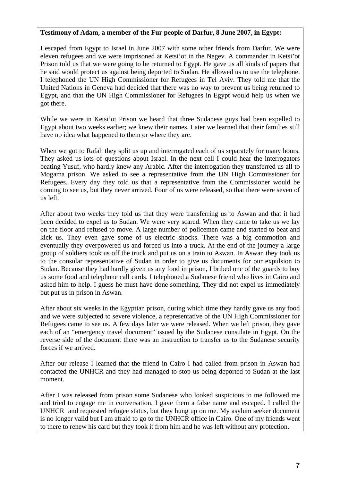#### **Testimony of Adam, a member of the Fur people of Darfur, 8 June 2007, in Egypt:**

I escaped from Egypt to Israel in June 2007 with some other friends from Darfur. We were eleven refugees and we were imprisoned at Ketsi'ot in the Negev. A commander in Ketsi'ot Prison told us that we were going to be returned to Egypt. He gave us all kinds of papers that he said would protect us against being deported to Sudan. He allowed us to use the telephone. I telephoned the UN High Commissioner for Refugees in Tel Aviv. They told me that the United Nations in Geneva had decided that there was no way to prevent us being returned to Egypt, and that the UN High Commissioner for Refugees in Egypt would help us when we got there.

While we were in Ketsi'ot Prison we heard that three Sudanese guys had been expelled to Egypt about two weeks earlier; we knew their names. Later we learned that their families still have no idea what happened to them or where they are.

When we got to Rafah they split us up and interrogated each of us separately for many hours. They asked us lots of questions about Israel. In the next cell I could hear the interrogators beating Yusuf, who hardly knew any Arabic. After the interrogation they transferred us all to Mogama prison. We asked to see a representative from the UN High Commissioner for Refugees. Every day they told us that a representative from the Commissioner would be coming to see us, but they never arrived. Four of us were released, so that there were seven of us left.

After about two weeks they told us that they were transferring us to Aswan and that it had been decided to expel us to Sudan. We were very scared. When they came to take us we lay on the floor and refused to move. A large number of policemen came and started to beat and kick us. They even gave some of us electric shocks. There was a big commotion and eventually they overpowered us and forced us into a truck. At the end of the journey a large group of soldiers took us off the truck and put us on a train to Aswan. In Aswan they took us to the consular representative of Sudan in order to give us documents for our expulsion to Sudan. Because they had hardly given us any food in prison, I bribed one of the guards to buy us some food and telephone call cards. I telephoned a Sudanese friend who lives in Cairo and asked him to help. I guess he must have done something. They did not expel us immediately but put us in prison in Aswan.

After about six weeks in the Egyptian prison, during which time they hardly gave us any food and we were subjected to severe violence, a representative of the UN High Commissioner for Refugees came to see us. A few days later we were released. When we left prison, they gave each of an "emergency travel document" issued by the Sudanese consulate in Egypt. On the reverse side of the document there was an instruction to transfer us to the Sudanese security forces if we arrived.

After our release I learned that the friend in Cairo I had called from prison in Aswan had contacted the UNHCR and they had managed to stop us being deported to Sudan at the last moment.

After I was released from prison some Sudanese who looked suspicious to me followed me and tried to engage me in conversation. I gave them a false name and escaped. I called the UNHCR and requested refugee status, but they hung up on me. My asylum seeker document is no longer valid but I am afraid to go to the UNHCR office in Cairo. One of my friends went to there to renew his card but they took it from him and he was left without any protection.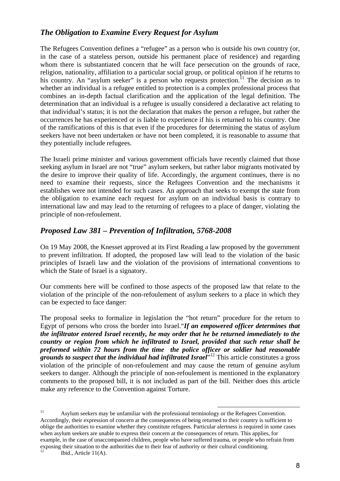## *The Obligation to Examine Every Request for Asylum*

The Refugees Convention defines a "refugee" as a person who is outside his own country (or, in the case of a stateless person, outside his permanent place of residence) and regarding whom there is substantiated concern that he will face persecution on the grounds of race, religion, nationality, affiliation to a particular social group, or political opinion if he returns to his country. An "asylum seeker" is a person who requests protection.<sup>11</sup> The decision as to whether an individual is a refugee entitled to protection is a complex professional process that combines an in-depth factual clarification and the application of the legal definition. The determination that an individual is a refugee is usually considered a declarative act relating to that individual's status; it is not the declaration that makes the person a refugee, but rather the occurrences he has experienced or is liable to experience if his is returned to his country. One of the ramifications of this is that even if the procedures for determining the status of asylum seekers have not been undertaken or have not been completed, it is reasonable to assume that they potentially include refugees.

The Israeli prime minister and various government officials have recently claimed that those seeking asylum in Israel are not "true" asylum seekers, but rather labor migrants motivated by the desire to improve their quality of life. Accordingly, the argument continues, there is no need to examine their requests, since the Refugees Convention and the mechanisms it establishes were not intended for such cases. An approach that seeks to exempt the state from the obligation to examine each request for asylum on an individual basis is contrary to international law and may lead to the returning of refugees to a place of danger, violating the principle of non-refoulement.

#### *Proposed Law 381 – Prevention of Infiltration, 5768-2008*

On 19 May 2008, the Knesset approved at its First Reading a law proposed by the government to prevent infiltration. If adopted, the proposed law will lead to the violation of the basic principles of Israeli law and the violation of the provisions of international conventions to which the State of Israel is a signatory.

Our comments here will be confined to those aspects of the proposed law that relate to the violation of the principle of the non-refoulement of asylum seekers to a place in which they can be expected to face danger:

The proposal seeks to formalize in legislation the "hot return" procedure for the return to Egypt of persons who cross the border into Israel."*If an empowered officer determines that the infiltrator entered Israel recently, he may order that he be returned immediately to the country or region from which he infiltrated to Israel, provided that such retur shall be preformed within 72 hours from the time the police officer or soldier had reasonable grounds to suspect that the individual had infiltrated Israel*" <sup>12</sup> This article constitutes a gross violation of the principle of non-refoulement and may cause the return of genuine asylum seekers to danger. Although the principle of non-refoulement is mentioned in the explanatory comments to the proposed bill, it is not included as part of the bill. Neither does this article make any reference to the Convention against Torture.

<sup>&</sup>lt;sup>11</sup> Asylum seekers may be unfamiliar with the professional terminology or the Refugees Convention. Accordingly, their expression of concern at the consequences of being returned to their country is sufficient to oblige the authorities to examine whether they constitute refugees. Particular alertness is required in some cases when asylum seekers are unable to express their concern at the consequences of return. This applies, for example, in the case of unaccompanied children, people who have suffered trauma, or people who refrain from exposing their situation to the authorities due to their fear of authority or their cultural conditioning. Ibid., Article 11(A).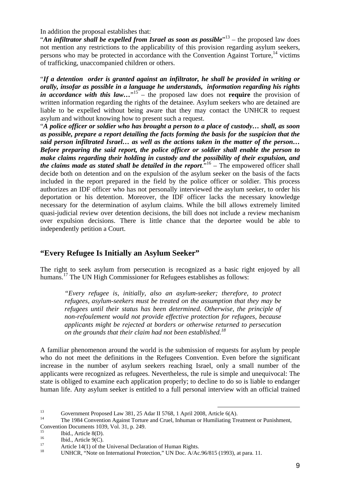In addition the proposal establishes that:

"An infiltrator shall be expelled from Israel as soon as possible"<sup>13</sup> – the proposed law does not mention any restrictions to the applicability of this provision regarding asylum seekers, persons who may be protected in accordance with the Convention Against Torture.<sup>14</sup> victims of trafficking, unaccompanied children or others.

"*If a detention order is granted against an infiltrator, he shall be provided in writing or orally, insofar as possible in a language he understands, information regarding his rights*  in accordance with this law..."<sup>15</sup> – the proposed law does not **require** the provision of written information regarding the rights of the detainee. Asylum seekers who are detained are liable to be expelled without being aware that they may contact the UNHCR to request asylum and without knowing how to present such a request.

"*A police officer or soldier who has brought a person to a place of custody… shall, as soon as possible, prepare a report detailing the facts forming the basis for the suspicion that the said person infiltrated Israel… as well as the actions taken in the matter of the person… Before preparing the said report, the police officer or soldier shall enable the person to make claims regarding their holding in custody and the possibility of their expulsion, and the claims made as stated shall be detailed in the report*."<sup>16</sup> – The empowered officer shall decide both on detention and on the expulsion of the asylum seeker on the basis of the facts included in the report prepared in the field by the police officer or soldier. This process authorizes an IDF officer who has not personally interviewed the asylum seeker, to order his deportation or his detention. Moreover, the IDF officer lacks the necessary knowledge necessary for the determination of asylum claims. While the bill allows extremely limited quasi-judicial review over detention decisions, the bill does not include a review mechanism over expulsion decisions. There is little chance that the deportee would be able to independently petition a Court.

## **"Every Refugee Is Initially an Asylum Seeker"**

The right to seek asylum from persecution is recognized as a basic right enjoyed by all humans.<sup>17</sup> The UN High Commissioner for Refugees establishes as follows:

*"Every refugee is, initially, also an asylum-seeker; therefore, to protect refugees, asylum-seekers must be treated on the assumption that they may be refugees until their status has been determined. Otherwise, the principle of non-refoulement would not provide effective protection for refugees, because applicants might be rejected at borders or otherwise returned to persecution on the grounds that their claim had not been established.<sup>18</sup>* 

A familiar phenomenon around the world is the submission of requests for asylum by people who do not meet the definitions in the Refugees Convention. Even before the significant increase in the number of asylum seekers reaching Israel, only a small number of the applicants were recognized as refugees. Nevertheless, the rule is simple and unequivocal: The state is obliged to examine each application properly; to decline to do so is liable to endanger human life. Any asylum seeker is entitled to a full personal interview with an official trained

l

 $15$  Ibid., Article 8(D).

<sup>13</sup> Government Proposed Law 381, 25 Adar II 5768, 1 April 2008, Article 6(A).

<sup>14</sup> The 1984 Convention Against Torture and Cruel, Inhuman or Humiliating Treatment or Punishment, Convention Documents 1039, Vol. 31, p. 249.

 $16$  Ibid., Article 9(C).

<sup>&</sup>lt;sup>17</sup> Article 14(1) of the Universal Declaration of Human Rights.

UNHCR, "Note on International Protection," UN Doc. A/Ac.96/815 (1993), at para. 11.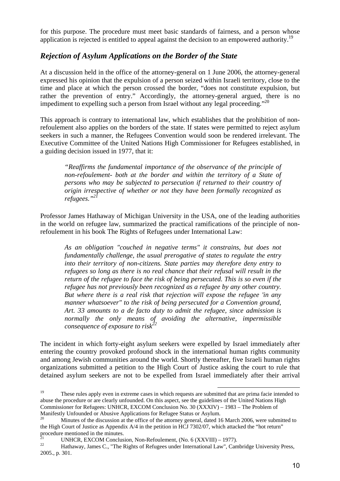for this purpose. The procedure must meet basic standards of fairness, and a person whose application is rejected is entitled to appeal against the decision to an empowered authority.<sup>19</sup>

#### *Rejection of Asylum Applications on the Border of the State*

At a discussion held in the office of the attorney-general on 1 June 2006, the attorney-general expressed his opinion that the expulsion of a person seized within Israeli territory, close to the time and place at which the person crossed the border, "does not constitute expulsion, but rather the prevention of entry." Accordingly, the attorney-general argued, there is no impediment to expelling such a person from Israel without any legal proceeding."<sup>20</sup>

This approach is contrary to international law, which establishes that the prohibition of nonrefoulement also applies on the borders of the state. If states were permitted to reject asylum seekers in such a manner, the Refugees Convention would soon be rendered irrelevant. The Executive Committee of the United Nations High Commissioner for Refugees established, in a guiding decision issued in 1977, that it:

*"Reaffirms the fundamental importance of the observance of the principle of non-refoulement- both at the border and within the territory of a State of persons who may be subjected to persecution if returned to their country of origin irrespective of whether or not they have been formally recognized as refugees."<sup>21</sup>*

Professor James Hathaway of Michigan University in the USA, one of the leading authorities in the world on refugee law, summarized the practical ramifications of the principle of nonrefoulement in his book The Rights of Refugees under International Law:

*As an obligation "couched in negative terms" it constrains, but does not fundamentally challenge, the usual prerogative of states to regulate the entry into their territory of non-citizens. State parties may therefore deny entry to refugees so long as there is no real chance that their refusal will result in the return of the refugee to face the risk of being persecuted. This is so even if the refugee has not previously been recognized as a refugee by any other country. But where there is a real risk that rejection will expose the refugee 'in any manner whatsoever" to the risk of being persecuted for a Convention ground, Art. 33 amounts to a de facto duty to admit the refugee, since admission is normally the only means of avoiding the alternative, impermissible consequence of exposure to risk*<sup>2</sup>

The incident in which forty-eight asylum seekers were expelled by Israel immediately after entering the country provoked profound shock in the international human rights community and among Jewish communities around the world. Shortly thereafter, five Israeli human rights organizations submitted a petition to the High Court of Justice asking the court to rule that detained asylum seekers are not to be expelled from Israel immediately after their arrival

<sup>&</sup>lt;sup>19</sup> These rules apply even in extreme cases in which requests are submitted that are prima facie intended to abuse the procedure or are clearly unfounded. On this aspect, see the guidelines of the United Nations High Commissioner for Refugees: UNHCR, EXCOM Conclusion No. 30 (XXXIV) – 1983 – The Problem of Manifestly Unfounded or Abusive Applications for Refugee Status or Asylum.

<sup>20</sup> Minutes of the discussion at the office of the attorney general, dated 16 March 2006, were submitted to the High Court of Justice as Appendix A/4 in the petition in HCJ 7302/07, which attacked the "hot return" procedure mentioned in the minutes.

<sup>&</sup>lt;sup>21</sup> UNHCR, EXCOM Conclusion, Non-Refoulement, (No. 6 (XXVIII) – 1977).<br><sup>22</sup> Hathaway, James C. "The Rights of Refugees under International Law". Can

<sup>22</sup> Hathaway, James C., "The Rights of Refugees under International Law", Cambridge University Press, 2005., p. 301.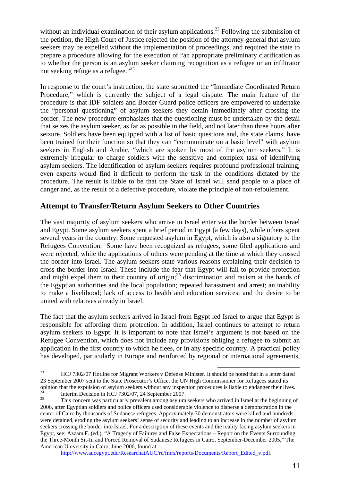without an individual examination of their asylum applications.<sup>23</sup> Following the submission of the petition, the High Court of Justice rejected the position of the attorney-general that asylum seekers may be expelled without the implementation of proceedings, and required the state to prepare a procedure allowing for the execution of "an appropriate preliminary clarification as to whether the person is an asylum seeker claiming recognition as a refugee or an infiltrator not seeking refuge as a refugee."<sup>24</sup>

In response to the court's instruction, the state submitted the "Immediate Coordinated Return Procedure," which is currently the subject of a legal dispute. The main feature of the procedure is that IDF soldiers and Border Guard police officers are empowered to undertake the "personal questioning" of asylum seekers they detain immediately after crossing the border. The new procedure emphasizes that the questioning must be undertaken by the detail that seizes the asylum seeker, as far as possible in the field, and not later than three hours after seizure. Soldiers have been equipped with a list of basic questions and, the state claims, have been trained for their function so that they can "communicate on a basic level" with asylum seekers in English and Arabic, "which are spoken by most of the asylum seekers." It is extremely irregular to charge soldiers with the sensitive and complex task of identifying asylum seekers. The identification of asylum seekers requires profound professional training; even experts would find it difficult to perform the task in the conditions dictated by the procedure. The result is liable to be that the State of Israel will send people to a place of danger and, as the result of a defective procedure, violate the principle of non-refoulement.

## **Attempt to Transfer/Return Asylum Seekers to Other Countries**

The vast majority of asylum seekers who arrive in Israel enter via the border between Israel and Egypt. Some asylum seekers spent a brief period in Egypt (a few days), while others spent several years in the country. Some requested asylum in Egypt, which is also a signatory to the Refugees Convention. Some have been recognized as refugees, some filed applications and were rejected, while the applications of others were pending at the time at which they crossed the border into Israel. The asylum seekers state various reasons explaining their decision to cross the border into Israel. These include the fear that Egypt will fail to provide protection and might expel them to their country of origin;<sup>25</sup> discrimination and racism at the hands of the Egyptian authorities and the local population; repeated harassment and arrest; an inability to make a livelihood; lack of access to health and education services; and the desire to be united with relatives already in Israel.

The fact that the asylum seekers arrived in Israel from Egypt led Israel to argue that Egypt is responsible for affording them protection. In addition, Israel continues to attempt to return asylum seekers to Egypt. It is important to note that Israel's argument is not based on the Refugee Convention, which does not include any provisions obliging a refugee to submit an application in the first country to which he flees, or in any specific country. A practical policy has developed, particularly in Europe and reinforced by regional or international agreements,

l

http://www.aucegypt.edu/ResearchatAUC/rc/fmrs/reports/Documents/Report\_Edited\_v.pdf.

<sup>&</sup>lt;sup>23</sup> HCJ 7302/07 Hotline for Migrant Workers v Defense Minister. It should be noted that in a letter dated 23 September 2007 sent to the State Prosecutor's Office, the UN High Commissioner for Refugees stated its opinion that the expulsion of asylum seekers without any inspection procedures is liable to endanger their lives. <sup>24</sup> Interim Decision in HCJ 7302/07, 24 September 2007.

<sup>25</sup> This concern was particularly prevalent among asylum seekers who arrived in Israel at the beginning of 2006, after Egyptian soldiers and police officers used considerable violence to disperse a demonstration in the center of Cairo by thousands of Sudanese refugees. Approximately 30 demonstrators were killed and hundreds were detained, eroding the asylum seekers' sense of security and leading to an increase in the number of asylum seekers crossing the border into Israel. For a description of these events and the reality facing asylum seekers in Egypt, see: Azzam F. (ed.), "A Tragedy of Failures and False Expectations – Report on the Events Surrounding the Three-Month Sit-In and Forced Removal of Sudanese Refugees in Cairo, September-December 2005," The American University in Cairo, June 2006, found at: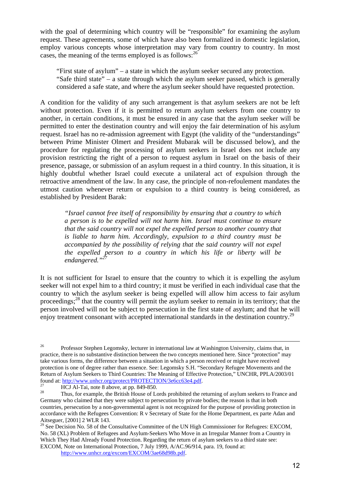with the goal of determining which country will be "responsible" for examining the asylum request. These agreements, some of which have also been formalized in domestic legislation, employ various concepts whose interpretation may vary from country to country. In most cases, the meaning of the terms employed is as follows:  $26$ 

 "First state of asylum" – a state in which the asylum seeker secured any protection. "Safe third state" – a state through which the asylum seeker passed, which is generally considered a safe state, and where the asylum seeker should have requested protection.

A condition for the validity of any such arrangement is that asylum seekers are not be left without protection. Even if it is permitted to return asylum seekers from one country to another, in certain conditions, it must be ensured in any case that the asylum seeker will be permitted to enter the destination country and will enjoy the fair determination of his asylum request. Israel has no re-admission agreement with Egypt (the validity of the "understandings" between Prime Minister Olmert and President Mubarak will be discussed below), and the procedure for regulating the processing of asylum seekers in Israel does not include any provision restricting the right of a person to request asylum in Israel on the basis of their presence, passage, or submission of an asylum request in a third country. In this situation, it is highly doubtful whether Israel could execute a unilateral act of expulsion through the retroactive amendment of the law. In any case, the principle of non-refoulement mandates the utmost caution whenever return or expulsion to a third country is being considered, as established by President Barak:

*"Israel cannot free itself of responsibility by ensuring that a country to which a person is to be expelled will not harm him. Israel must continue to ensure that the said country will not expel the expelled person to another country that is liable to harm him. Accordingly, expulsion to a third country must be accompanied by the possibility of relying that the said country will not expel the expelled person to a country in which his life or liberty will be endangered."<sup>27</sup>* 

It is not sufficient for Israel to ensure that the country to which it is expelling the asylum seeker will not expel him to a third country; it must be verified in each individual case that the country to which the asylum seeker is being expelled will allow him access to fair asylum proceedings;<sup>28</sup> that the country will permit the asylum seeker to remain in its territory; that the person involved will not be subject to persecution in the first state of asylum; and that he will enjoy treatment consonant with accepted international standards in the destination country.<sup>29</sup>

 $\overline{a}$ 

http://www.unhcr.org/excom/EXCOM/3ae68d98b.pdf.

<sup>&</sup>lt;sup>26</sup> Professor Stephen Legomsky, lecturer in international law at Washington University, claims that, in practice, there is no substantive distinction between the two concepts mentioned here. Since "protection" may take various forms, the difference between a situation in which a person received or might have received protection is one of degree rather than essence. See: Legomsky S.H. "Secondary Refugee Movements and the Return of Asylum Seekers to Third Countries: The Meaning of Effective Protection," UNCHR, PPLA/2003/01 found at: http://www.unhcr.org/protect/PROTECTION/3e6cc63e4.pdf.

<sup>&</sup>lt;sup>27</sup> HCJ Al-Tai, note 8 above, at pp. 849-850.

Thus, for example, the British House of Lords prohibited the returning of asylum seekers to France and Germany who claimed that they were subject to persecution by private bodies; the reason is that in both countries, persecution by a non-governmental agent is not recognized for the purpose of providing protection in accordance with the Refugees Convention: R v Secretary of State for the Home Department, ex parte Adan and Aitseguer, [2001] 2 WLR 143.

<sup>&</sup>lt;sup>29</sup> See Decision No. 58 of the Consultative Committee of the UN High Commissioner for Refugees: EXCOM, No. 58 (XL) Problem of Refugees and Asylum-Seekers Who Move in an Irregular Manner from a Country in Which They Had Already Found Protection. Regarding the return of asylum seekers to a third state see: EXCOM, Note on International Protection, 7 July 1999, A/AC.96/914, para. 19, found at: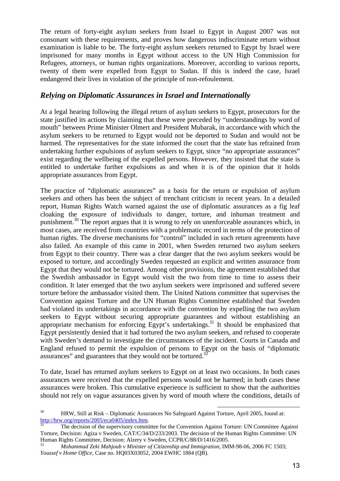The return of forty-eight asylum seekers from Israel to Egypt in August 2007 was not consonant with these requirements, and proves how dangerous indiscriminate return without examination is liable to be. The forty-eight asylum seekers returned to Egypt by Israel were imprisoned for many months in Egypt without access to the UN High Commission for Refugees, attorneys, or human rights organizations. Moreover, according to various reports, twenty of them were expelled from Egypt to Sudan. If this is indeed the case, Israel endangered their lives in violation of the principle of non-refoulement.

#### *Relying on Diplomatic Assurances in Israel and Internationally*

At a legal hearing following the illegal return of asylum seekers to Egypt, prosecutors for the state justified its actions by claiming that these were preceded by "understandings by word of mouth" between Prime Minister Olmert and President Mubarak, in accordance with which the asylum seekers to be returned to Egypt would not be deported to Sudan and would not be harmed. The representatives for the state informed the court that the state has refrained from undertaking further expulsions of asylum seekers to Egypt, since "no appropriate assurances" exist regarding the wellbeing of the expelled persons. However, they insisted that the state is entitled to undertake further expulsions as and when it is of the opinion that it holds appropriate assurances from Egypt.

The practice of "diplomatic assurances" as a basis for the return or expulsion of asylum seekers and others has been the subject of trenchant criticism in recent years. In a detailed report, Human Rights Watch warned against the use of diplomatic assurances as a fig leaf cloaking the exposure of individuals to danger, torture, and inhuman treatment and punishment.<sup>30</sup> The report argues that it is wrong to rely on unenforceable assurances which, in most cases, are received from countries with a problematic record in terms of the protection of human rights. The diverse mechanisms for "control" included in such return agreements have also failed. An example of this came in 2001, when Sweden returned two asylum seekers from Egypt to their country. There was a clear danger that the two asylum seekers would be exposed to torture, and accordingly Sweden requested an explicit and written assurance from Egypt that they would not be tortured. Among other provisions, the agreement established that the Swedish ambassador in Egypt would visit the two from time to time to assess their condition. It later emerged that the two asylum seekers were imprisoned and suffered severe torture before the ambassador visited them. The United Nations committee that supervises the Convention against Torture and the UN Human Rights Committee established that Sweden had violated its undertakings in accordance with the convention by expelling the two asylum seekers to Egypt without securing appropriate guarantees and without establishing an appropriate mechanism for enforcing Egypt's undertakings.<sup>31</sup> It should be emphasized that Egypt persistently denied that it had tortured the two asylum seekers, and refused to cooperate with Sweden's demand to investigate the circumstances of the incident. Courts in Canada and England refused to permit the expulsion of persons to Egypt on the basis of "diplomatic assurances" and guarantees that they would not be tortured.<sup>3</sup>

To date, Israel has returned asylum seekers to Egypt on at least two occasions. In both cases assurances were received that the expelled persons would not be harmed; in both cases these assurances were broken. This cumulative experience is sufficient to show that the authorities should not rely on vague assurances given by word of mouth where the conditions, details of

<sup>&</sup>lt;sup>30</sup> HRW, Still at Risk – Diplomatic Assurances No Safeguard Against Torture, April 2005, found at: http://hrw.org/reports/2005/eca0405/index.htm.

The decision of the supervisory committee for the Convention Against Torture: UN Committee Against Torture, Decision: Agiza v Sweden, CAT/C/34/D/233/2003. The decision of the Human Rights Committee: UN Human Rights Committee, Decision: Alzery v Sweden, CCPR/C/88/D/1416/2005.

<sup>32</sup> *Mohammad Zeki Mahjoub v Minister of Citizenship and Immigration*, IMM-98-06, 2006 FC 1503; *Youssef v Home Office*, Case no. HQ03X03052, 2004 EWHC 1884 (QB).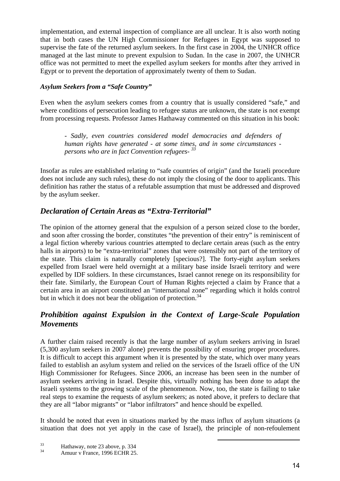implementation, and external inspection of compliance are all unclear. It is also worth noting that in both cases the UN High Commissioner for Refugees in Egypt was supposed to supervise the fate of the returned asylum seekers. In the first case in 2004, the UNHCR office managed at the last minute to prevent expulsion to Sudan. In the case in 2007, the UNHCR office was not permitted to meet the expelled asylum seekers for months after they arrived in Egypt or to prevent the deportation of approximately twenty of them to Sudan.

#### *Asylum Seekers from a "Safe Country"*

Even when the asylum seekers comes from a country that is usually considered "safe," and where conditions of persecution leading to refugee status are unknown, the state is not exempt from processing requests. Professor James Hathaway commented on this situation in his book:

*- Sadly, even countries considered model democracies and defenders of human rights have generated - at some times, and in some circumstances persons who are in fact Convention refugees- <sup>33</sup>*

Insofar as rules are established relating to "safe countries of origin" (and the Israeli procedure does not include any such rules), these do not imply the closing of the door to applicants. This definition has rather the status of a refutable assumption that must be addressed and disproved by the asylum seeker.

## *Declaration of Certain Areas as "Extra-Territorial"*

The opinion of the attorney general that the expulsion of a person seized close to the border, and soon after crossing the border, constitutes "the prevention of their entry" is reminiscent of a legal fiction whereby various countries attempted to declare certain areas (such as the entry halls in airports) to be "extra-territorial" zones that were ostensibly not part of the territory of the state. This claim is naturally completely [specious?]. The forty-eight asylum seekers expelled from Israel were held overnight at a military base inside Israeli territory and were expelled by IDF soldiers. In these circumstances, Israel cannot renege on its responsibility for their fate. Similarly, the European Court of Human Rights rejected a claim by France that a certain area in an airport constituted an "international zone" regarding which it holds control but in which it does not bear the obligation of protection.<sup>34</sup>

## *Prohibition against Expulsion in the Context of Large-Scale Population Movements*

A further claim raised recently is that the large number of asylum seekers arriving in Israel (5,300 asylum seekers in 2007 alone) prevents the possibility of ensuring proper procedures. It is difficult to accept this argument when it is presented by the state, which over many years failed to establish an asylum system and relied on the services of the Israeli office of the UN High Commissioner for Refugees. Since 2006, an increase has been seen in the number of asylum seekers arriving in Israel. Despite this, virtually nothing has been done to adapt the Israeli systems to the growing scale of the phenomenon. Now, too, the state is failing to take real steps to examine the requests of asylum seekers; as noted above, it prefers to declare that they are all "labor migrants" or "labor infiltrators" and hence should be expelled.

It should be noted that even in situations marked by the mass influx of asylum situations (a situation that does not yet apply in the case of Israel), the principle of non-refoulement

 $\overline{a}$ 

 $\frac{33}{34}$  Hathaway, note 23 above, p. 334

Amuur v France, 1996 ECHR 25.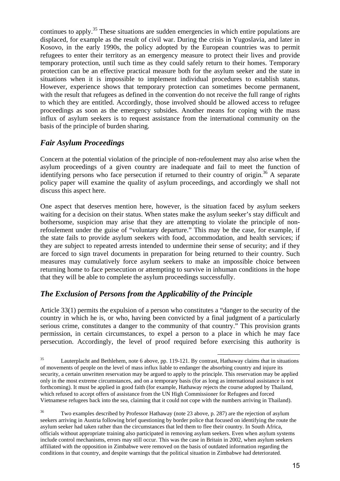continues to apply.<sup>35</sup> These situations are sudden emergencies in which entire populations are displaced, for example as the result of civil war. During the crisis in Yugoslavia, and later in Kosovo, in the early 1990s, the policy adopted by the European countries was to permit refugees to enter their territory as an emergency measure to protect their lives and provide temporary protection, until such time as they could safely return to their homes. Temporary protection can be an effective practical measure both for the asylum seeker and the state in situations when it is impossible to implement individual procedures to establish status. However, experience shows that temporary protection can sometimes become permanent, with the result that refugees as defined in the convention do not receive the full range of rights to which they are entitled. Accordingly, those involved should be allowed access to refugee proceedings as soon as the emergency subsides. Another means for coping with the mass influx of asylum seekers is to request assistance from the international community on the basis of the principle of burden sharing.

#### *Fair Asylum Proceedings*

Concern at the potential violation of the principle of non-refoulement may also arise when the asylum proceedings of a given country are inadequate and fail to meet the function of identifying persons who face persecution if returned to their country of origin.<sup>36</sup> A separate policy paper will examine the quality of asylum proceedings, and accordingly we shall not discuss this aspect here.

One aspect that deserves mention here, however, is the situation faced by asylum seekers waiting for a decision on their status. When states make the asylum seeker's stay difficult and bothersome, suspicion may arise that they are attempting to violate the principle of nonrefoulement under the guise of "voluntary departure." This may be the case, for example, if the state fails to provide asylum seekers with food, accommodation, and health services; if they are subject to repeated arrests intended to undermine their sense of security; and if they are forced to sign travel documents in preparation for being returned to their country. Such measures may cumulatively force asylum seekers to make an impossible choice between returning home to face persecution or attempting to survive in inhuman conditions in the hope that they will be able to complete the asylum proceedings successfully.

## *The Exclusion of Persons from the Applicability of the Principle*

Article 33(1) permits the expulsion of a person who constitutes a "danger to the security of the country in which he is, or who, having been convicted by a final judgment of a particularly serious crime, constitutes a danger to the community of that country." This provision grants permission, in certain circumstances, to expel a person to a place in which he may face persecution. Accordingly, the level of proof required before exercising this authority is

l  $^{35}$  Lauterplacht and Bethlehem, note 6 above, pp. 119-121. By contrast, Hathaway claims that in situations of movements of people on the level of mass influx liable to endanger the absorbing country and injure its security, a certain unwritten reservation may be argued to apply to the principle. This reservation may be applied only in the most extreme circumstances, and on a temporary basis (for as long as international assistance is not forthcoming). It must be applied in good faith (for example, Hathaway rejects the course adopted by Thailand, which refused to accept offers of assistance from the UN High Commissioner for Refugees and forced Vietnamese refugees back into the sea, claiming that it could not cope with the numbers arriving in Thailand).

<sup>36</sup> Two examples described by Professor Hathaway (note 23 above, p. 287) are the rejection of asylum seekers arriving in Austria following brief questioning by border police that focused on identifying the route the asylum seeker had taken rather than the circumstances that led them to flee their country. In South Africa, officials without appropriate training also participated in removing asylum seekers. Even when asylum systems include control mechanisms, errors may still occur. This was the case in Britain in 2002, when asylum seekers affiliated with the opposition in Zimbabwe were removed on the basis of outdated information regarding the conditions in that country, and despite warnings that the political situation in Zimbabwe had deteriorated.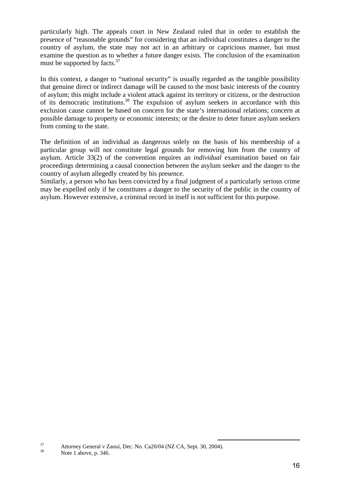particularly high. The appeals court in New Zealand ruled that in order to establish the presence of "reasonable grounds" for considering that an individual constitutes a danger to the country of asylum, the state may not act in an arbitrary or capricious manner, but must examine the question as to whether a future danger exists. The conclusion of the examination must be supported by facts.<sup>37</sup>

In this context, a danger to "national security" is usually regarded as the tangible possibility that genuine direct or indirect damage will be caused to the most basic interests of the country of asylum; this might include a violent attack against its territory or citizens, or the destruction of its democratic institutions.<sup>38</sup> The expulsion of asylum seekers in accordance with this exclusion cause cannot be based on concern for the state's international relations; concern at possible damage to property or economic interests; or the desire to deter future asylum seekers from coming to the state.

The definition of an individual as dangerous solely on the basis of his membership of a particular group will not constitute legal grounds for removing him from the country of asylum. Article 33(2) of the convention requires an *individual* examination based on fair proceedings determining a causal connection between the asylum seeker and the danger to the country of asylum allegedly created by his presence.

Similarly, a person who has been convicted by a final judgment of a particularly serious crime may be expelled only if he constitutes a danger to the security of the public in the country of asylum. However extensive, a criminal record in itself is not sufficient for this purpose.

 $\overline{a}$ 

 $\frac{37}{38}$  Attorney General v Zaoui, Dec. No. Ca20/04 (NZ CA, Sept. 30, 2004).

Note 1 above, p. 346.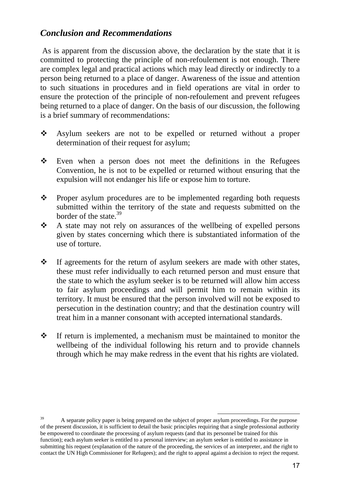# *Conclusion and Recommendations*

 As is apparent from the discussion above, the declaration by the state that it is committed to protecting the principle of non-refoulement is not enough. There are complex legal and practical actions which may lead directly or indirectly to a person being returned to a place of danger. Awareness of the issue and attention to such situations in procedures and in field operations are vital in order to ensure the protection of the principle of non-refoulement and prevent refugees being returned to a place of danger. On the basis of our discussion, the following is a brief summary of recommendations:

- $\frac{1}{2}$  Asylum seekers are not to be expelled or returned without a proper determination of their request for asylum;
- $\frac{1}{2}$  Even when a person does not meet the definitions in the Refugees Convention, he is not to be expelled or returned without ensuring that the expulsion will not endanger his life or expose him to torture.
- $\frac{1}{2}$  Proper asylum procedures are to be implemented regarding both requests submitted within the territory of the state and requests submitted on the border of the state.<sup>39</sup>
- $\frac{1}{2}$  A state may not rely on assurances of the wellbeing of expelled persons given by states concerning which there is substantiated information of the use of torture.
- $\frac{1}{2}$  If agreements for the return of asylum seekers are made with other states, these must refer individually to each returned person and must ensure that the state to which the asylum seeker is to be returned will allow him access to fair asylum proceedings and will permit him to remain within its territory. It must be ensured that the person involved will not be exposed to persecution in the destination country; and that the destination country will treat him in a manner consonant with accepted international standards.
- $\frac{1}{2}$  If return is implemented, a mechanism must be maintained to monitor the wellbeing of the individual following his return and to provide channels through which he may make redress in the event that his rights are violated.

<sup>39</sup> A separate policy paper is being prepared on the subject of proper asylum proceedings. For the purpose of the present discussion, it is sufficient to detail the basic principles requiring that a single professional authority be empowered to coordinate the processing of asylum requests (and that its personnel be trained for this function); each asylum seeker is entitled to a personal interview; an asylum seeker is entitled to assistance in submitting his request (explanation of the nature of the proceeding, the services of an interpreter, and the right to contact the UN High Commissioner for Refugees); and the right to appeal against a decision to reject the request.